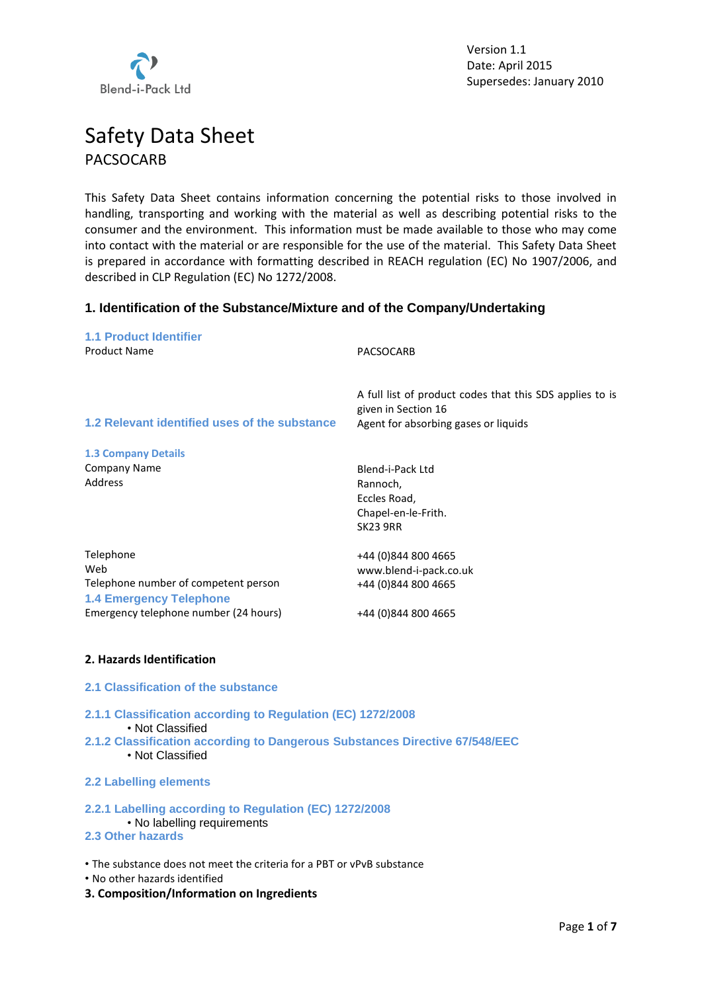

# Safety Data Sheet PACSOCARB

This Safety Data Sheet contains information concerning the potential risks to those involved in handling, transporting and working with the material as well as describing potential risks to the consumer and the environment. This information must be made available to those who may come into contact with the material or are responsible for the use of the material. This Safety Data Sheet is prepared in accordance with formatting described in REACH regulation (EC) No 1907/2006, and described in CLP Regulation (EC) No 1272/2008.

# **1. Identification of the Substance/Mixture and of the Company/Undertaking**

| <b>1.1 Product Identifier</b><br><b>Product Name</b>                   | PACSOCARB                                                                       |
|------------------------------------------------------------------------|---------------------------------------------------------------------------------|
|                                                                        | A full list of product codes that this SDS applies to is<br>given in Section 16 |
| 1.2 Relevant identified uses of the substance                          | Agent for absorbing gases or liquids                                            |
| <b>1.3 Company Details</b>                                             |                                                                                 |
| Company Name                                                           | Blend-i-Pack Ltd                                                                |
| Address                                                                | Rannoch,                                                                        |
|                                                                        | Eccles Road,                                                                    |
|                                                                        | Chapel-en-le-Frith.                                                             |
|                                                                        | <b>SK23 9RR</b>                                                                 |
| Telephone                                                              | +44 (0)844 800 4665                                                             |
| Web                                                                    | www.blend-i-pack.co.uk                                                          |
| Telephone number of competent person<br><b>1.4 Emergency Telephone</b> | +44 (0)844 800 4665                                                             |
| Emergency telephone number (24 hours)                                  | +44 (0)844 800 4665                                                             |
| 2. Hazards Identification                                              |                                                                                 |

- **2.1 Classification of the substance**
- **2.1.1 Classification according to Regulation (EC) 1272/2008**
	- Not Classified
- **2.1.2 Classification according to Dangerous Substances Directive 67/548/EEC** • Not Classified
- **2.2 Labelling elements**

#### **2.2.1 Labelling according to Regulation (EC) 1272/2008** • No labelling requirements **2.3 Other hazards**

• The substance does not meet the criteria for a PBT or vPvB substance

- No other hazards identified
- **3. Composition/Information on Ingredients**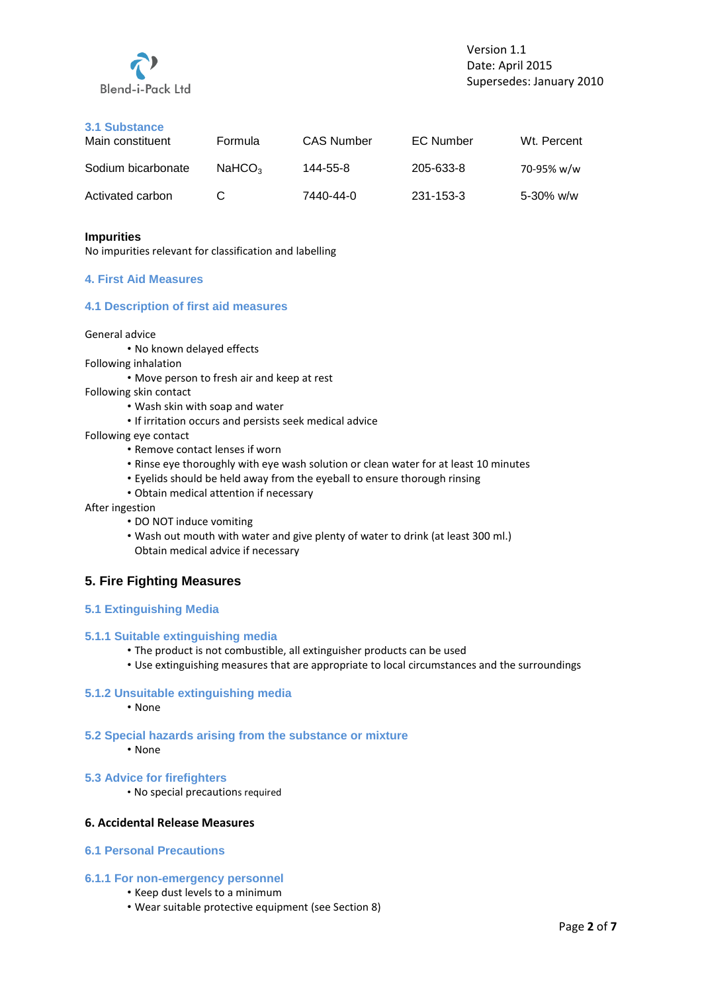

# **3.1 Substance**

| Main constituent   | Formula            | <b>CAS Number</b> | <b>EC Number</b> | Wt. Percent    |
|--------------------|--------------------|-------------------|------------------|----------------|
| Sodium bicarbonate | NaHCO <sub>3</sub> | 144-55-8          | 205-633-8        | 70-95% w/w     |
| Activated carbon   | C                  | 7440-44-0         | 231-153-3        | $5 - 30\%$ w/w |

#### **Impurities**

No impurities relevant for classification and labelling

## **4. First Aid Measures**

# **4.1 Description of first aid measures**

#### General advice

- No known delayed effects
- Following inhalation
	- Move person to fresh air and keep at rest
- Following skin contact
	- Wash skin with soap and water
	- If irritation occurs and persists seek medical advice
- Following eye contact
	- Remove contact lenses if worn
	- Rinse eye thoroughly with eye wash solution or clean water for at least 10 minutes
	- Eyelids should be held away from the eyeball to ensure thorough rinsing
	- Obtain medical attention if necessary
- After ingestion
	- DO NOT induce vomiting
	- Wash out mouth with water and give plenty of water to drink (at least 300 ml.) Obtain medical advice if necessary

# **5. Fire Fighting Measures**

## **5.1 Extinguishing Media**

#### **5.1.1 Suitable extinguishing media**

- The product is not combustible, all extinguisher products can be used
- Use extinguishing measures that are appropriate to local circumstances and the surroundings

## **5.1.2 Unsuitable extinguishing media**

- None
- **5.2 Special hazards arising from the substance or mixture**
	- None
- **5.3 Advice for firefighters**
	- No special precautions required

# **6. Accidental Release Measures**

# **6.1 Personal Precautions**

#### **6.1.1 For non**‐**emergency personnel**

- Keep dust levels to a minimum
- Wear suitable protective equipment (see Section 8)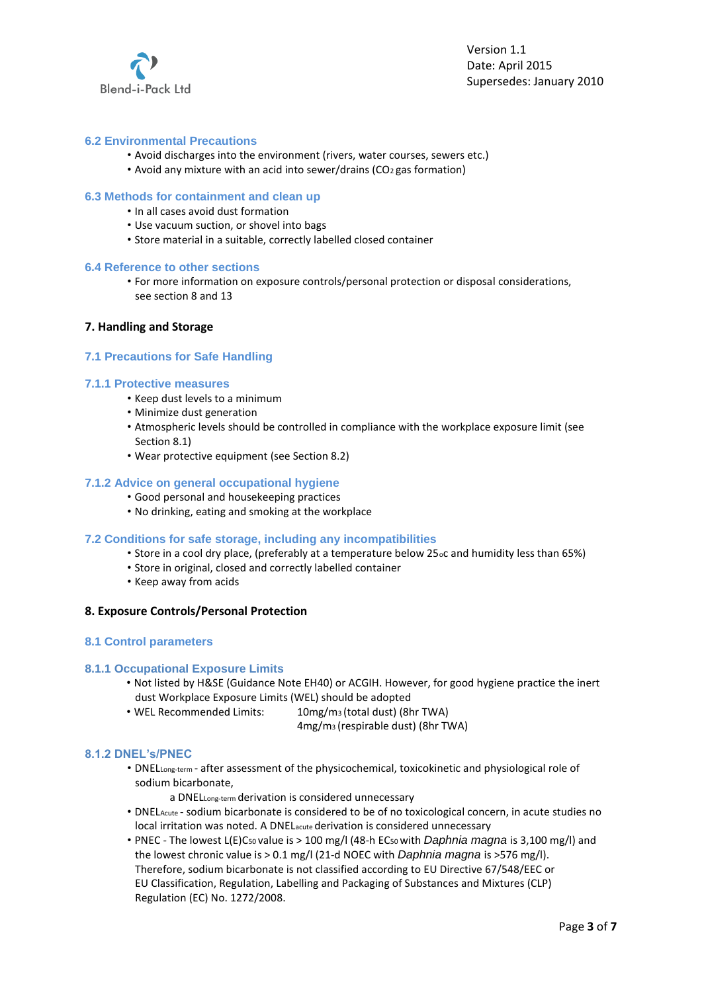

# **6.2 Environmental Precautions**

- Avoid discharges into the environment (rivers, water courses, sewers etc.)
- Avoid any mixture with an acid into sewer/drains (CO2 gas formation)

## **6.3 Methods for containment and clean up**

- In all cases avoid dust formation
- Use vacuum suction, or shovel into bags
- Store material in a suitable, correctly labelled closed container

#### **6.4 Reference to other sections**

• For more information on exposure controls/personal protection or disposal considerations, see section 8 and 13

## **7. Handling and Storage**

## **7.1 Precautions for Safe Handling**

## **7.1.1 Protective measures**

- Keep dust levels to a minimum
- Minimize dust generation
- Atmospheric levels should be controlled in compliance with the workplace exposure limit (see Section 8.1)
- Wear protective equipment (see Section 8.2)

## **7.1.2 Advice on general occupational hygiene**

- Good personal and housekeeping practices
- No drinking, eating and smoking at the workplace

#### **7.2 Conditions for safe storage, including any incompatibilities**

- Store in a cool dry place, (preferably at a temperature below 25oc and humidity less than 65%)
- Store in original, closed and correctly labelled container
- Keep away from acids

## **8. Exposure Controls/Personal Protection**

#### **8.1 Control parameters**

## **8.1.1 Occupational Exposure Limits**

- Not listed by H&SE (Guidance Note EH40) or ACGIH. However, for good hygiene practice the inert dust Workplace Exposure Limits (WEL) should be adopted
- WEL Recommended Limits: 10mg/m3 (total dust) (8hr TWA)
	- 4mg/m3 (respirable dust) (8hr TWA)

## **8.1.2 DNEL's/PNEC**

- DNELLong-term after assessment of the physicochemical, toxicokinetic and physiological role of sodium bicarbonate,
	- a DNELLong‐term derivation is considered unnecessary
- DNELAcute ‐ sodium bicarbonate is considered to be of no toxicological concern, in acute studies no local irritation was noted. A DNELacute derivation is considered unnecessary
- PNEC ‐ The lowest L(E)C50 value is > 100 mg/l (48‐h EC50 with *Daphnia magna* is 3,100 mg/l) and the lowest chronic value is > 0.1 mg/l (21‐d NOEC with *Daphnia magna* is >576 mg/l). Therefore, sodium bicarbonate is not classified according to EU Directive 67/548/EEC or EU Classification, Regulation, Labelling and Packaging of Substances and Mixtures (CLP) Regulation (EC) No. 1272/2008.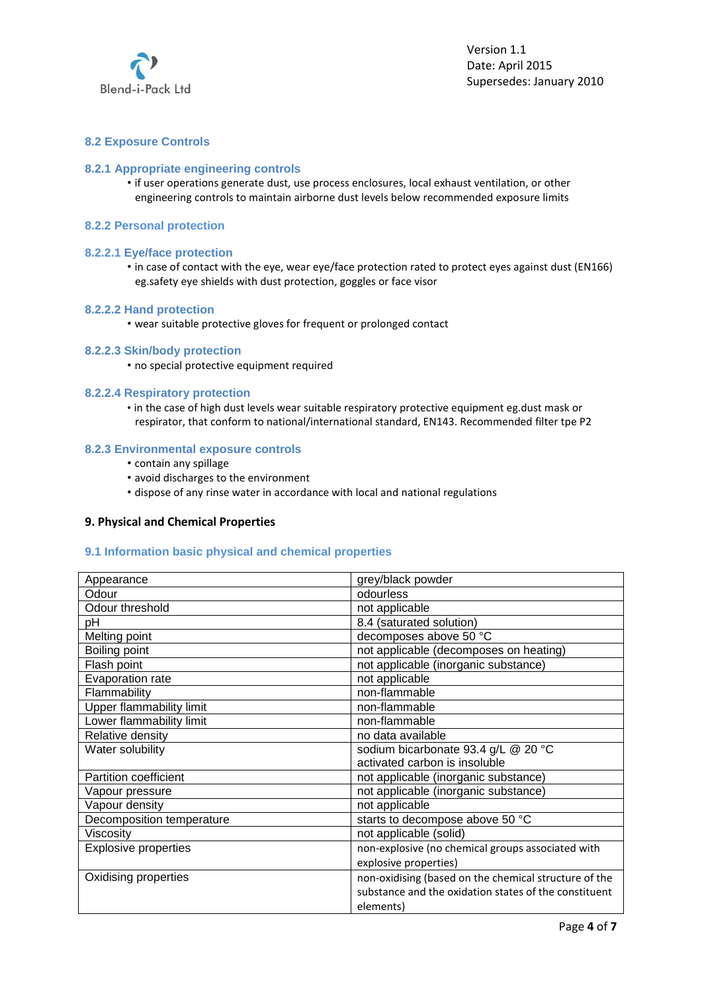

# **8.2 Exposure Controls**

## **8.2.1 Appropriate engineering controls**

- if user operations generate dust, use process enclosures, local exhaust ventilation, or other engineering controls to maintain airborne dust levels below recommended exposure limits
- **8.2.2 Personal protection**

#### **8.2.2.1 Eye/face protection**

• in case of contact with the eye, wear eye/face protection rated to protect eyes against dust (EN166) eg.safety eye shields with dust protection, goggles or face visor

#### **8.2.2.2 Hand protection**

• wear suitable protective gloves for frequent or prolonged contact

## **8.2.2.3 Skin/body protection**

• no special protective equipment required

## **8.2.2.4 Respiratory protection**

• in the case of high dust levels wear suitable respiratory protective equipment eg.dust mask or respirator, that conform to national/international standard, EN143. Recommended filter tpe P2

## **8.2.3 Environmental exposure controls**

- contain any spillage
- avoid discharges to the environment
- dispose of any rinse water in accordance with local and national regulations

## **9. Physical and Chemical Properties**

## **9.1 Information basic physical and chemical properties**

| Appearance                   | grey/black powder                                     |
|------------------------------|-------------------------------------------------------|
| Odour                        | odourless                                             |
| Odour threshold              | not applicable                                        |
| pH                           | 8.4 (saturated solution)                              |
| Melting point                | decomposes above 50 °C                                |
| Boiling point                | not applicable (decomposes on heating)                |
| Flash point                  | not applicable (inorganic substance)                  |
| Evaporation rate             | not applicable                                        |
| Flammability                 | non-flammable                                         |
| Upper flammability limit     | non-flammable                                         |
| Lower flammability limit     | non-flammable                                         |
| Relative density             | no data available                                     |
| Water solubility             | sodium bicarbonate 93.4 g/L @ 20 °C                   |
|                              | activated carbon is insoluble                         |
| <b>Partition coefficient</b> | not applicable (inorganic substance)                  |
| Vapour pressure              | not applicable (inorganic substance)                  |
| Vapour density               | not applicable                                        |
| Decomposition temperature    | starts to decompose above 50 °C                       |
| Viscosity                    | not applicable (solid)                                |
| <b>Explosive properties</b>  | non-explosive (no chemical groups associated with     |
|                              | explosive properties)                                 |
| Oxidising properties         | non-oxidising (based on the chemical structure of the |
|                              | substance and the oxidation states of the constituent |
|                              | elements)                                             |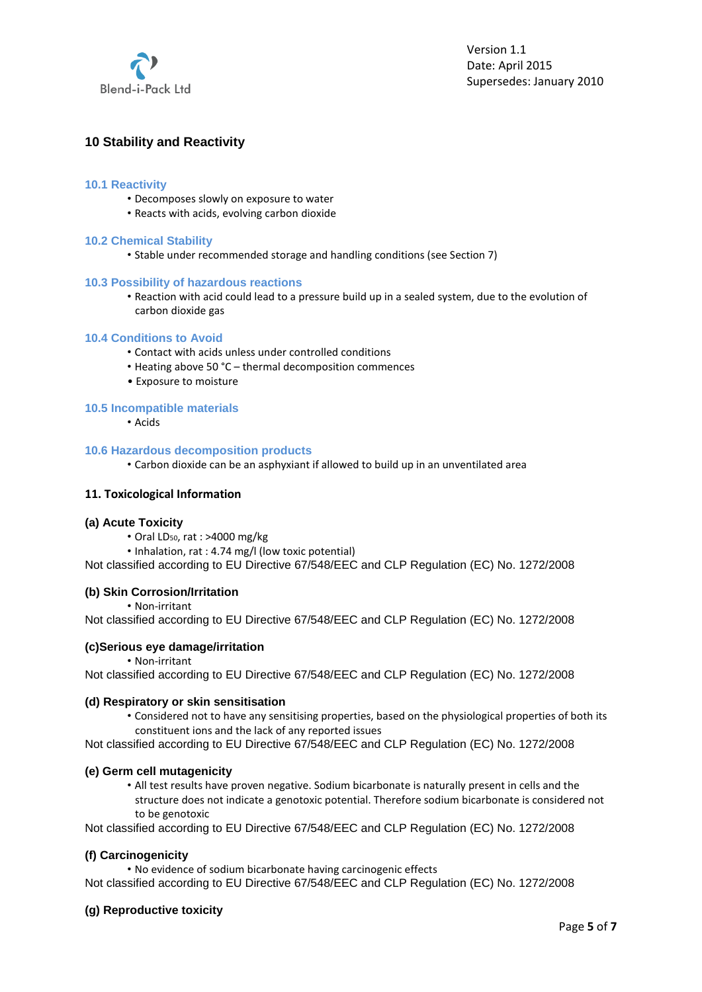

# **10 Stability and Reactivity**

## **10.1 Reactivity**

- Decomposes slowly on exposure to water
- Reacts with acids, evolving carbon dioxide

## **10.2 Chemical Stability**

• Stable under recommended storage and handling conditions (see Section 7)

## **10.3 Possibility of hazardous reactions**

• Reaction with acid could lead to a pressure build up in a sealed system, due to the evolution of carbon dioxide gas

## **10.4 Conditions to Avoid**

- Contact with acids unless under controlled conditions
- Heating above 50 °C thermal decomposition commences
- Exposure to moisture

# **10.5 Incompatible materials**

• Acids

## **10.6 Hazardous decomposition products**

• Carbon dioxide can be an asphyxiant if allowed to build up in an unventilated area

## **11. Toxicological Information**

#### **(a) Acute Toxicity**

- Oral LD50, rat : >4000 mg/kg
- Inhalation, rat : 4.74 mg/l (low toxic potential)

Not classified according to EU Directive 67/548/EEC and CLP Regulation (EC) No. 1272/2008

## **(b) Skin Corrosion/Irritation**

• Non‐irritant

Not classified according to EU Directive 67/548/EEC and CLP Regulation (EC) No. 1272/2008

# **(c)Serious eye damage/irritation**

• Non‐irritant

Not classified according to EU Directive 67/548/EEC and CLP Regulation (EC) No. 1272/2008

### **(d) Respiratory or skin sensitisation**

• Considered not to have any sensitising properties, based on the physiological properties of both its constituent ions and the lack of any reported issues

Not classified according to EU Directive 67/548/EEC and CLP Regulation (EC) No. 1272/2008

#### **(e) Germ cell mutagenicity**

• All test results have proven negative. Sodium bicarbonate is naturally present in cells and the structure does not indicate a genotoxic potential. Therefore sodium bicarbonate is considered not to be genotoxic

Not classified according to EU Directive 67/548/EEC and CLP Regulation (EC) No. 1272/2008

## **(f) Carcinogenicity**

• No evidence of sodium bicarbonate having carcinogenic effects

Not classified according to EU Directive 67/548/EEC and CLP Regulation (EC) No. 1272/2008

## **(g) Reproductive toxicity**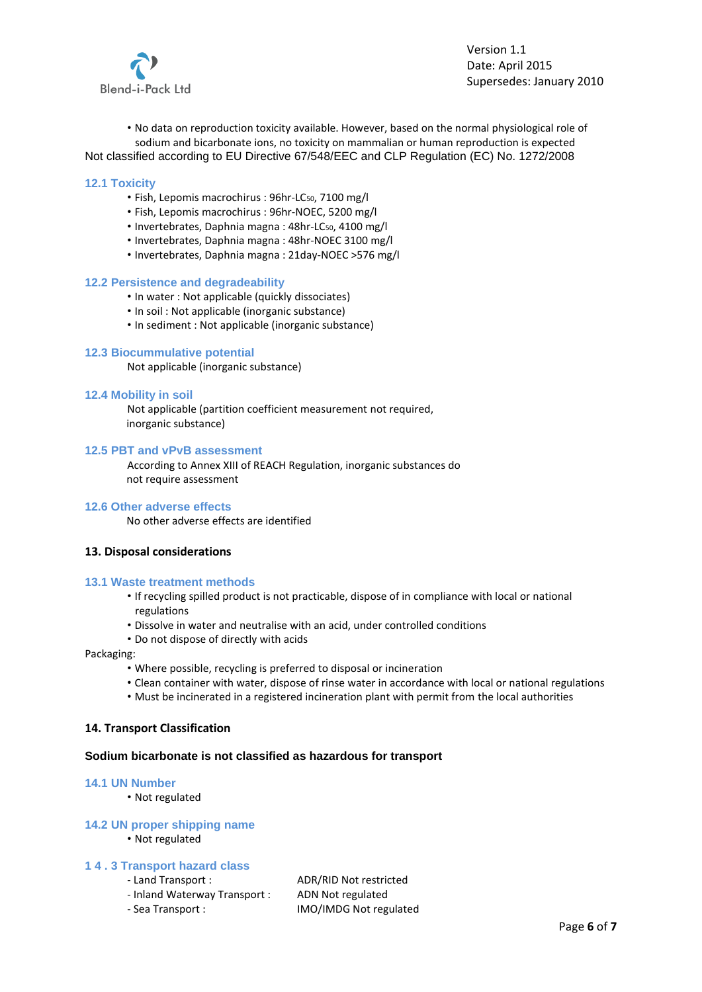

Version 1.1 Date: April 2015 Supersedes: January 2010

• No data on reproduction toxicity available. However, based on the normal physiological role of sodium and bicarbonate ions, no toxicity on mammalian or human reproduction is expected Not classified according to EU Directive 67/548/EEC and CLP Regulation (EC) No. 1272/2008

#### **12.1 Toxicity**

- Fish, Lepomis macrochirus : 96hr-LC<sub>50</sub>, 7100 mg/l
- Fish, Lepomis macrochirus : 96hr‐NOEC, 5200 mg/l
- Invertebrates, Daphnia magna : 48hr-LC<sub>50</sub>, 4100 mg/l
- Invertebrates, Daphnia magna : 48hr‐NOEC 3100 mg/l
- Invertebrates, Daphnia magna : 21day‐NOEC >576 mg/l

#### **12.2 Persistence and degradeability**

- In water : Not applicable (quickly dissociates)
- In soil : Not applicable (inorganic substance)
- In sediment : Not applicable (inorganic substance)

#### **12.3 Biocummulative potential**

Not applicable (inorganic substance)

## **12.4 Mobility in soil**

Not applicable (partition coefficient measurement not required, inorganic substance)

#### **12.5 PBT and vPvB assessment**

According to Annex XIII of REACH Regulation, inorganic substances do not require assessment

#### **12.6 Other adverse effects**

No other adverse effects are identified

#### **13. Disposal considerations**

#### **13.1 Waste treatment methods**

- If recycling spilled product is not practicable, dispose of in compliance with local or national regulations
- Dissolve in water and neutralise with an acid, under controlled conditions
- Do not dispose of directly with acids

Packaging:

- Where possible, recycling is preferred to disposal or incineration
- Clean container with water, dispose of rinse water in accordance with local or national regulations
- Must be incinerated in a registered incineration plant with permit from the local authorities

## **14. Transport Classification**

#### **Sodium bicarbonate is not classified as hazardous for transport**

#### **14.1 UN Number**

• Not regulated

#### **14.2 UN proper shipping name**

• Not regulated

## **1 4 . 3 Transport hazard class**

- 
- ‐ Inland Waterway Transport : ADN Not regulated
- 

‐ Land Transport : ADR/RID Not restricted ‐ Sea Transport : IMO/IMDG Not regulated